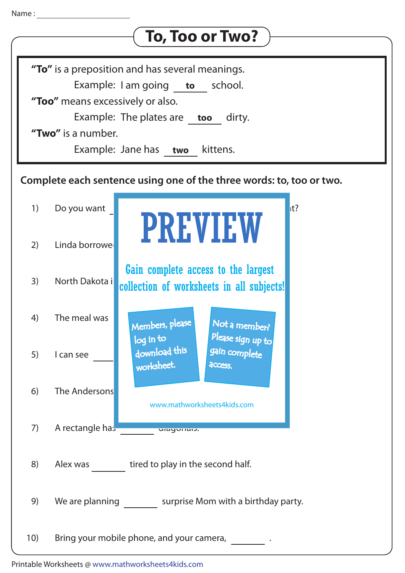